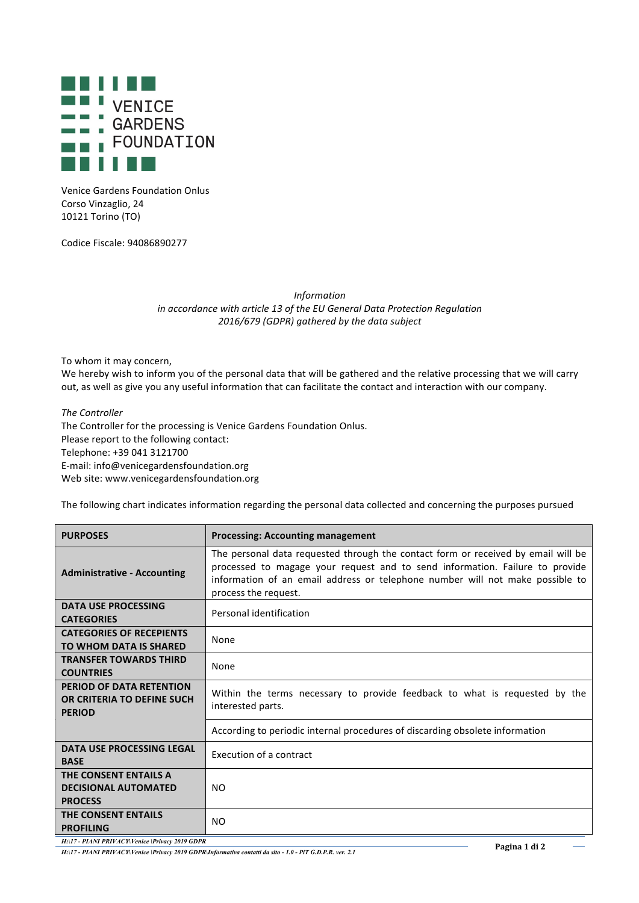

Venice Gardens Foundation Onlus Corso Vinzaglio, 24 10121 Torino (TO)

Codice Fiscale: 94086890277

*Information in accordance with article 13 of the EU General Data Protection Regulation 2016/679 (GDPR) gathered by the data subject*

To whom it may concern,

We hereby wish to inform you of the personal data that will be gathered and the relative processing that we will carry out, as well as give you any useful information that can facilitate the contact and interaction with our company.

*The Controller* The Controller for the processing is Venice Gardens Foundation Onlus. Please report to the following contact: Telephone: +39 041 3121700 E-mail: info@venicegardensfoundation.org Web site: www.venicegardensfoundation.org

The following chart indicates information regarding the personal data collected and concerning the purposes pursued

| <b>PURPOSES</b>                                                         | <b>Processing: Accounting management</b>                                                                                                                                                                                                                                   |
|-------------------------------------------------------------------------|----------------------------------------------------------------------------------------------------------------------------------------------------------------------------------------------------------------------------------------------------------------------------|
| <b>Administrative - Accounting</b>                                      | The personal data requested through the contact form or received by email will be<br>processed to magage your request and to send information. Failure to provide<br>information of an email address or telephone number will not make possible to<br>process the request. |
| <b>DATA USE PROCESSING</b><br><b>CATEGORIES</b>                         | Personal identification                                                                                                                                                                                                                                                    |
| <b>CATEGORIES OF RECEPIENTS</b><br><b>TO WHOM DATA IS SHARED</b>        | None                                                                                                                                                                                                                                                                       |
| <b>TRANSFER TOWARDS THIRD</b><br><b>COUNTRIES</b>                       | None                                                                                                                                                                                                                                                                       |
| PERIOD OF DATA RETENTION<br>OR CRITERIA TO DEFINE SUCH<br><b>PERIOD</b> | Within the terms necessary to provide feedback to what is requested by the<br>interested parts.                                                                                                                                                                            |
|                                                                         | According to periodic internal procedures of discarding obsolete information                                                                                                                                                                                               |
| DATA USE PROCESSING LEGAL<br><b>BASE</b>                                | Execution of a contract                                                                                                                                                                                                                                                    |
| THE CONSENT ENTAILS A<br><b>DECISIONAL AUTOMATED</b><br><b>PROCESS</b>  | <b>NO</b>                                                                                                                                                                                                                                                                  |
| <b>THE CONSENT ENTAILS</b><br><b>PROFILING</b>                          | NO                                                                                                                                                                                                                                                                         |

H:\17 - PIANI PRIVACY\Venice\Privacy 2019 GDPR<br>H:\17 - PIANI PRIVACY\Venice\Privacy 2019 GDPR\Informativa contatti da sito - 1.0 - PiT G.D.P.R. ver. 2.1 Pagina 1 di 2